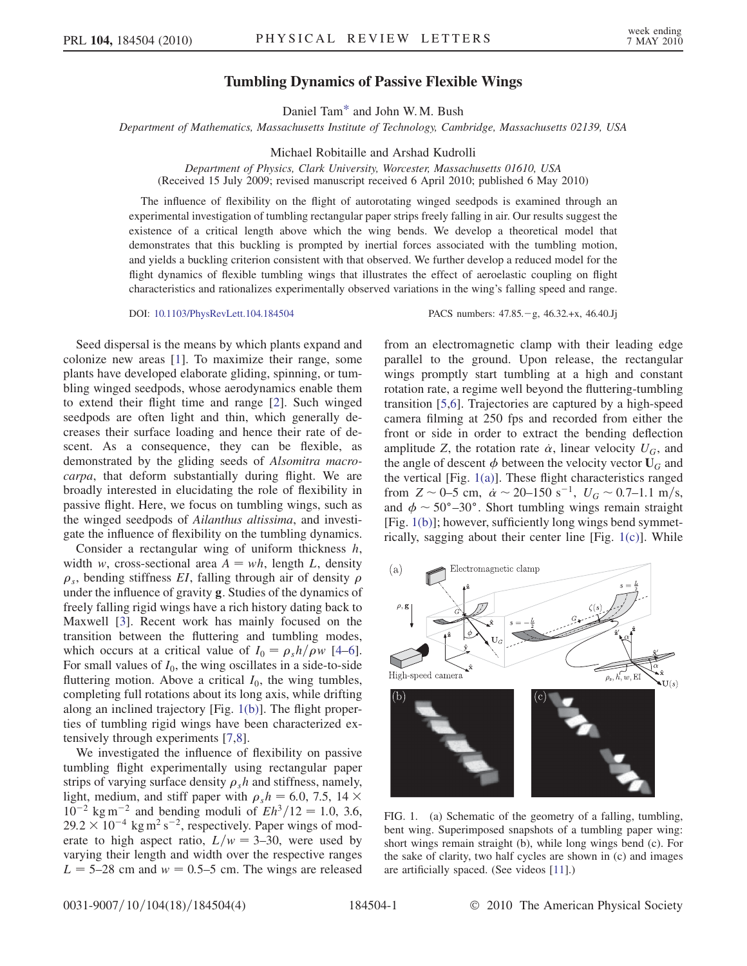## Tumbling Dynamics of Passive Flexible Wings

Daniel Ta[m\\*](#page-3-0) and John W. M. Bush

<span id="page-0-2"></span>Department of Mathematics, Massachusetts Institute of Technology, Cambridge, Massachusetts 02139, USA

Michael Robitaille and Arshad Kudrolli

Department of Physics, Clark University, Worcester, Massachusetts 01610, USA (Received 15 July 2009; revised manuscript received 6 April 2010; published 6 May 2010)

The influence of flexibility on the flight of autorotating winged seedpods is examined through an experimental investigation of tumbling rectangular paper strips freely falling in air. Our results suggest the existence of a critical length above which the wing bends. We develop a theoretical model that demonstrates that this buckling is prompted by inertial forces associated with the tumbling motion, and yields a buckling criterion consistent with that observed. We further develop a reduced model for the flight dynamics of flexible tumbling wings that illustrates the effect of aeroelastic coupling on flight characteristics and rationalizes experimentally observed variations in the wing's falling speed and range.

DOI: [10.1103/PhysRevLett.104.184504](http://dx.doi.org/10.1103/PhysRevLett.104.184504) PACS numbers: 47.85. - g, 46.32.+x, 46.40.Jj

Seed dispersal is the means by which plants expand and colonize new areas [\[1\]](#page-3-1). To maximize their range, some plants have developed elaborate gliding, spinning, or tumbling winged seedpods, whose aerodynamics enable them to extend their flight time and range [\[2](#page-3-2)]. Such winged seedpods are often light and thin, which generally decreases their surface loading and hence their rate of descent. As a consequence, they can be flexible, as demonstrated by the gliding seeds of Alsomitra macrocarpa, that deform substantially during flight. We are broadly interested in elucidating the role of flexibility in passive flight. Here, we focus on tumbling wings, such as the winged seedpods of Ailanthus altissima, and investigate the influence of flexibility on the tumbling dynamics.

Consider a rectangular wing of uniform thickness  $h$ , width w, cross-sectional area  $A = wh$ , length L, density  $\rho_s$ , bending stiffness *EI*, falling through air of density  $\rho$ under the influence of gravity g. Studies of the dynamics of freely falling rigid wings have a rich history dating back to Maxwell [\[3](#page-3-3)]. Recent work has mainly focused on the transition between the fluttering and tumbling modes, which occurs at a critical value of  $I_0 = \rho_s h / \rho w$  [\[4](#page-3-4)–[6\]](#page-3-5). For small values of  $I_0$ , the wing oscillates in a side-to-side fluttering motion. Above a critical  $I_0$ , the wing tumbles, completing full rotations about its long axis, while drifting along an inclined trajectory [Fig. [1\(b\)](#page-0-0)]. The flight properties of tumbling rigid wings have been characterized extensively through experiments [[7](#page-3-6),[8\]](#page-3-7).

We investigated the influence of flexibility on passive tumbling flight experimentally using rectangular paper strips of varying surface density  $\rho_s h$  and stiffness, namely, light, medium, and stiff paper with  $\rho_s h = 6.0, 7.5, 14 \times 10^{-2}$  kg m<sup>-2</sup> and bending moduli of  $Fh^3/12 = 1.0, 3.6$  $10^{-2}$  kg m<sup>-2</sup> and bending moduli of  $Eh^3/12 = 1.0, 3.6,$  $29.2 \times 10^{-4}$  kg m<sup>2</sup> s<sup>-2</sup>, respectively. Paper wings of mod-<br>erate to high aspect ratio  $L/w = 3-30$  were used by erate to high aspect ratio,  $L/w = 3-30$ , were used by varying their length and width over the respective ranges  $L = 5-28$  cm and  $w = 0.5-5$  cm. The wings are released from an electromagnetic clamp with their leading edge parallel to the ground. Upon release, the rectangular wings promptly start tumbling at a high and constant rotation rate, a regime well beyond the fluttering-tumbling transition [\[5,](#page-3-8)[6](#page-3-5)]. Trajectories are captured by a high-speed camera filming at 250 fps and recorded from either the front or side in order to extract the bending deflection amplitude Z, the rotation rate  $\dot{\alpha}$ , linear velocity  $U_G$ , and the angle of descent  $\phi$  between the velocity vector  $\Pi_G$  and the angle of descent  $\phi$  between the velocity vector  $U_G$  and the vertical [Fig. [1\(a\)](#page-0-0)]. These flight characteristics ranged from  $Z \sim 0$ –5 cm,  $\dot{\alpha} \sim 20$ –150 s<sup>-1</sup>,  $U_G \sim 0.7$ –1.1 m/s,<br>and  $\dot{\phi} \sim 50^{\circ}$ –30°. Short tumbling wings remain straight and  $\phi \sim 50^{\circ}$ –30°. Short tumbling wings remain straight [Fig. [1\(b\)\]](#page-0-0); however, sufficiently long wings bend symmetrically, sagging about their center line [Fig. [1\(c\)](#page-0-0)]. While

<span id="page-0-1"></span>

<span id="page-0-0"></span>FIG. 1. (a) Schematic of the geometry of a falling, tumbling, bent wing. Superimposed snapshots of a tumbling paper wing: short wings remain straight (b), while long wings bend (c). For the sake of clarity, two half cycles are shown in (c) and images are artificially spaced. (See videos [[11](#page-3-9)].)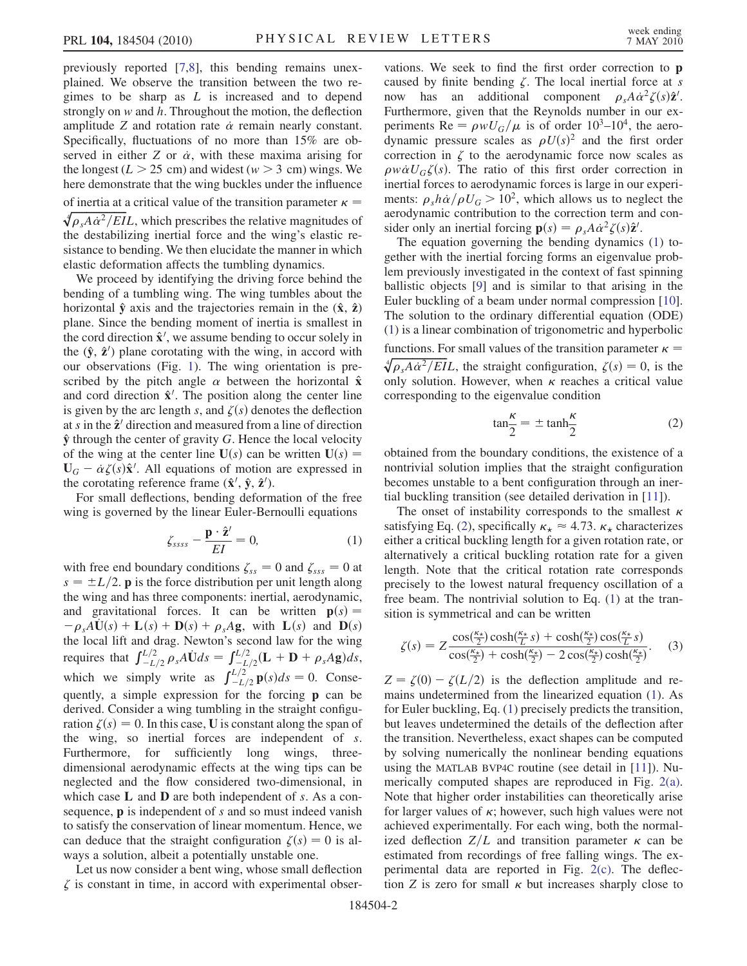previously reported [[7](#page-3-6),[8\]](#page-3-7), this bending remains unexplained. We observe the transition between the two regimes to be sharp as  $L$  is increased and to depend strongly on  $w$  and  $h$ . Throughout the motion, the deflection amplitude Z and rotation rate  $\dot{\alpha}$  remain nearly constant.<br>Specifically fluctuations of no more than 15% are ob-Specifically, fluctuations of no more than 15% are observed in either Z or  $\dot{\alpha}$ , with these maxima arising for<br>the longest  $(I > 25 \text{ cm})$  and widest  $(w > 3 \text{ cm})$  wings. We the longest ( $L > 25$  cm) and widest ( $w > 3$  cm) wings. We here demonstrate that the wing buckles under the influence of inertia at a critical value of the transition parameter  $\kappa =$  $\oint \rho_s A \dot{\alpha}^2 / EIL$ , which prescribes the relative magnitudes of the destabilizing inertial force and the wing's elastic rethe destabilizing inertial force and the wing's elastic resistance to bending. We then elucidate the manner in which elastic deformation affects the tumbling dynamics.

We proceed by identifying the driving force behind the bending of a tumbling wing. The wing tumbles about the horizontal  $\hat{y}$  axis and the trajectories remain in the  $(\hat{x}, \hat{z})$ plane. Since the bending moment of inertia is smallest in the cord direction  $\hat{\mathbf{x}}^{\prime}$ , we assume bending to occur solely in the  $(\hat{\mathbf{v}} \ \hat{\mathbf{z}}^{\prime})$  plane corotating with the wing in accord with the  $(\hat{y}, \hat{z}')$  plane corotating with the wing, in accord with our observations (Fig. 1). The wing orientation is preour observations (Fig. [1](#page-0-1)). The wing orientation is prescribed by the pitch angle  $\alpha$  between the horizontal  $\hat{\mathbf{x}}$ <br>and cord direction  $\hat{\mathbf{x}}'$ . The position along the center line and cord direction  $\hat{\mathbf{x}}^{\prime}$ . The position along the center line<br>is given by the arc length s and  $\zeta(s)$  denotes the deflection is given by the arc length s, and  $\zeta(s)$  denotes the deflection at s in the  $\hat{\mathbf{z}}'$  direction and measured from a line of direction  $\hat{y}$  through the center of gravity G. Hence the local velocity of the wing at the center line  $U(s)$  can be written  $U(s) =$  $\mathbf{U}_G - \dot{\alpha} \zeta(s) \hat{\mathbf{x}}'$ . All equations of motion are expressed in the corotating reference frame  $(\hat{\mathbf{x}}' \ \hat{\mathbf{x}}'')$ the corotating reference frame  $(\hat{\mathbf{x}}^{\prime}, \hat{\mathbf{y}}, \hat{\mathbf{z}}^{\prime})$ .<br>For small deflections, bending deform

<span id="page-1-0"></span>For small deflections, bending deformation of the free wing is governed by the linear Euler-Bernoulli equations

$$
\zeta_{ssss} - \frac{\mathbf{p} \cdot \hat{\mathbf{z}}'}{EI} = 0, \tag{1}
$$

with free end boundary conditions  $\zeta_{ss} = 0$  and  $\zeta_{ss} = 0$  at  $s = \pm L/2$ . **p** is the force distribution per unit length along the wing and has three components: inertial, aerodynamic, and gravitational forces. It can be written  $p(s) =$  $-\rho_s A\dot{U}(s) + L(s) + D(s) + \rho_s Ag$ , with  $L(s)$  and  $D(s)$ the local lift and drag. Newton's second law for the wing the local lift and drag. Newton's second law for the wing<br>requires that  $\int_{-L/2}^{L/2} \rho_s A \dot{U} ds = \int_{-L/2}^{L/2} (L + D + \rho_s A g) ds$ ,<br>which we simply write as  $\int_{-L/2}^{L/2} p(s) ds = 0$ . Conse- $\sum_{-L/2}^{L/2} \mathbf{p}(s) ds = 0$ . Consequently, a simple expression for the forcing p can be derived. Consider a wing tumbling in the straight configuration  $\zeta(s) = 0$ . In this case, U is constant along the span of the wing, so inertial forces are independent of s. Furthermore, for sufficiently long wings, threedimensional aerodynamic effects at the wing tips can be neglected and the flow considered two-dimensional, in which case  $L$  and  $D$  are both independent of  $s$ . As a consequence, **p** is independent of s and so must indeed vanish to satisfy the conservation of linear momentum. Hence, we can deduce that the straight configuration  $\zeta(s) = 0$  is always a solution, albeit a potentially unstable one.

Let us now consider a bent wing, whose small deflection  $\zeta$  is constant in time, in accord with experimental observations. We seek to find the first order correction to p caused by finite bending  $\zeta$ . The local inertial force at s now has an additional component  $\rho_s A \dot{\alpha}^2 \zeta(s) \hat{\mathbf{z}}'$ .<br>Furthermore given that the Revnolds number in our ex-Furthermore, given that the Reynolds number in our experiments Re =  $\rho w U_G/\mu$  is of order 10<sup>3</sup>–10<sup>4</sup>, the aerodynamic pressure scales as  $\rho U(s)^2$  and the first order correction in  $\zeta$  to the aerodynamic force now scales as  $\rho w \dot{\alpha} U_G \zeta(s)$ . The ratio of this first order correction in inertial forces to aerodynamic forces is large in our experiinertial forces to aerodynamic forces is large in our experiments:  $\rho_s h \dot{\alpha}/\rho U_G > 10^2$ , which allows us to neglect the aerodynamic contribution to the correction term and conaerodynamic contribution to the correction term and con-

sider only an inertial forcing  $\mathbf{p}(s) = \rho_s A \dot{\alpha}^2 \zeta(s) \hat{\mathbf{z}}'$ .<br>The equation governing the bending dynamics The equation governing the bending dynamics ([1\)](#page-1-0) together with the inertial forcing forms an eigenvalue problem previously investigated in the context of fast spinning ballistic objects [[9\]](#page-3-10) and is similar to that arising in the Euler buckling of a beam under normal compression [[10\]](#page-3-11). The solution to the ordinary differential equation (ODE) [\(1\)](#page-1-0) is a linear combination of trigonometric and hyperbolic functions. For small values of the transition parameter  $\kappa =$  $\frac{d}{ds} \rho_s A \dot{\alpha}^2 / EL$ , the straight configuration,  $\zeta(s) = 0$ , is the solution. However, when  $\kappa$  reaches a critical value only solution. However, when  $\kappa$  reaches a critical value corresponding to the eigenvalue condition

$$
\tan\frac{\kappa}{2} = \pm \tanh\frac{\kappa}{2} \tag{2}
$$

<span id="page-1-1"></span>obtained from the boundary conditions, the existence of a nontrivial solution implies that the straight configuration becomes unstable to a bent configuration through an inertial buckling transition (see detailed derivation in [[11](#page-3-9)]).

The onset of instability corresponds to the smallest  $\kappa$ satisfying Eq. [\(2](#page-1-1)), specifically  $\kappa_{\star} \approx 4.73$ .  $\kappa_{\star}$  characterizes either a critical buckling length for a given rotation rate, or alternatively a critical buckling rotation rate for a given length. Note that the critical rotation rate corresponds precisely to the lowest natural frequency oscillation of a free beam. The nontrivial solution to Eq. ([1\)](#page-1-0) at the transition is symmetrical and can be written

<span id="page-1-2"></span>
$$
\zeta(s) = Z \frac{\cos(\frac{\kappa_{\star}}{2}) \cosh(\frac{\kappa_{\star}}{L} s) + \cosh(\frac{\kappa_{\star}}{2}) \cos(\frac{\kappa_{\star}}{L} s)}{\cos(\frac{\kappa_{\star}}{2}) + \cosh(\frac{\kappa_{\star}}{2}) - 2 \cos(\frac{\kappa_{\star}}{2}) \cosh(\frac{\kappa_{\star}}{2})}.
$$
 (3)

 $Z = \zeta(0) - \zeta(L/2)$  is the deflection amplitude and remains undetermined from the linearized equation ([1\)](#page-1-0). As for Euler buckling, Eq. ([1](#page-1-0)) precisely predicts the transition, but leaves undetermined the details of the deflection after the transition. Nevertheless, exact shapes can be computed by solving numerically the nonlinear bending equations using the MATLAB BVP4C routine (see detail in [\[11\]](#page-3-9)). Numerically computed shapes are reproduced in Fig. [2\(a\)](#page-2-0). Note that higher order instabilities can theoretically arise for larger values of  $\kappa$ ; however, such high values were not achieved experimentally. For each wing, both the normalized deflection  $Z/L$  and transition parameter  $\kappa$  can be estimated from recordings of free falling wings. The experimental data are reported in Fig. [2\(c\)](#page-2-0). The deflection Z is zero for small  $\kappa$  but increases sharply close to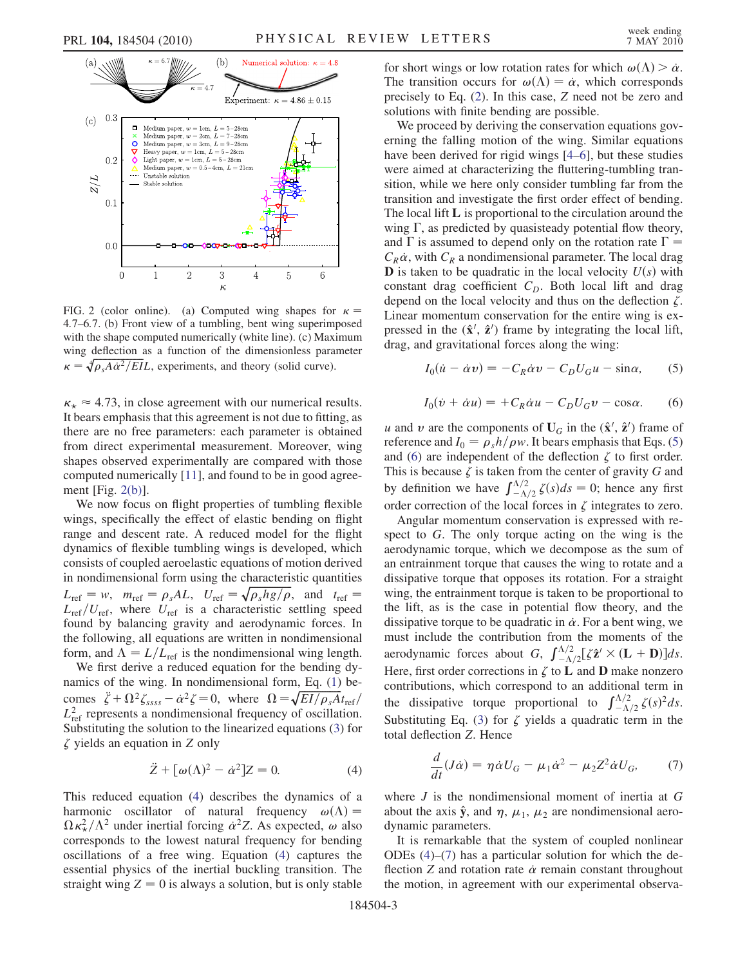

<span id="page-2-0"></span>FIG. 2 (color online). (a) Computed wing shapes for  $\kappa =$ 4:7–6:7. (b) Front view of a tumbling, bent wing superimposed with the shape computed numerically (white line). (c) Maximum wing deflection as a function of the dimensionless parameter wing deflection as a function of the dimensionless para<br> $\kappa = \sqrt[4]{\rho_s A \dot{\alpha}^2 / EIL}$ , experiments, and theory (solid curve).

 $\kappa_{\star} \approx 4.73$ , in close agreement with our numerical results. It bears emphasis that this agreement is not due to fitting, as there are no free parameters: each parameter is obtained from direct experimental measurement. Moreover, wing shapes observed experimentally are compared with those computed numerically [[11](#page-3-9)], and found to be in good agreement [Fig. [2\(b\)\]](#page-2-0).

We now focus on flight properties of tumbling flexible wings, specifically the effect of elastic bending on flight range and descent rate. A reduced model for the flight dynamics of flexible tumbling wings is developed, which consists of coupled aeroelastic equations of motion derived in nondimensional form using the characteristic quantities in nondimensional form using the characteristic quantities<br>  $L_{\text{ref}} = w$ ,  $m_{\text{ref}} = \rho_s A L$ ,  $U_{\text{ref}} = \sqrt{\rho_s h g / \rho}$ , and  $t_{\text{ref}} = L_{\text{ref}}/U_s$ , where  $U_s$  is a characteristic settling speed  $L_{\text{ref}}/U_{\text{ref}}$ , where  $U_{\text{ref}}$  is a characteristic settling speed<br>found by belancing growity and agreedynamic forces. In found by balancing gravity and aerodynamic forces. In the following, all equations are written in nondimensional form, and  $\Lambda = L/L_{\text{ref}}$  is the nondimensional wing length.

We first derive a reduced equation for the bending dynamics of the wing. In nondimensional form, Eq. [\(1\)](#page-1-0) bemamics of the wing. In nondimensional form, Eq. (1) be-<br>
comes  $\ddot{\zeta} + \Omega^2 \zeta_{ssss} - \dot{\alpha}^2 \zeta = 0$ , where  $\Omega = \sqrt{EI/\rho_s A} t_{\text{ref}}/I^2$ , represents a nondimensional frequency of oscillation  $L_{\text{ref}}^2$  represents a nondimensional frequency of oscillation.<br>Substituting the solution to the linearized equations (3) for Substituting the solution to the linearized equations ([3\)](#page-1-2) for  $\zeta$  yields an equation in Z only

$$
\ddot{Z} + [\omega(\Lambda)^2 - \dot{\alpha}^2]Z = 0.
$$
 (4)

<span id="page-2-1"></span>This reduced equation [\(4](#page-2-1)) describes the dynamics of a harmonic oscillator of natural frequency  $\omega(\Lambda) =$ -corresponds to the lowest natural frequency for bending  $\kappa_{\mathcal{X}}^2/\Lambda^2$  under inertial forcing  $\dot{\alpha}^2 Z$ . As expected,  $\omega$  also<br>responds to the lowest natural frequency for bending \_ oscillations of a free wing. Equation ([4](#page-2-1)) captures the essential physics of the inertial buckling transition. The straight wing  $Z = 0$  is always a solution, but is only stable

for short wings or low rotation rates for which  $\omega(\Lambda) > \alpha$ .<br>The transition occurs for  $\omega(\Lambda) = \alpha$  which corresponds The transition occurs for  $\omega(\Lambda) = \dot{\alpha}$ , which corresponds<br>precisely to Eq. (2). In this case, Z need not be zero and precisely to Eq. [\(2\)](#page-1-1). In this case, Z need not be zero and solutions with finite bending are possible.

We proceed by deriving the conservation equations governing the falling motion of the wing. Similar equations have been derived for rigid wings [[4](#page-3-4)[–6\]](#page-3-5), but these studies were aimed at characterizing the fluttering-tumbling transition, while we here only consider tumbling far from the transition and investigate the first order effect of bending. The local lift L is proportional to the circulation around the wing  $\Gamma$ , as predicted by quasisteady potential flow theory, and  $\Gamma$  is assumed to depend only on the rotation rate  $\Gamma =$  $C_R \dot{\alpha}$ , with  $C_R$  a nondimensional parameter. The local drag **D** is taken to be quadratic in the local velocity  $U(s)$  with **D** is taken to be quadratic in the local velocity  $U(s)$  with constant drag coefficient  $C_D$ . Both local lift and drag depend on the local velocity and thus on the deflection  $\zeta$ . Linear momentum conservation for the entire wing is expressed in the  $(\hat{\mathbf{x}}', \hat{\mathbf{z}}')$  frame by integrating the local lift,<br>drag and gravitational forces along the wing: drag, and gravitational forces along the wing:

<span id="page-2-3"></span>
$$
I_0(\dot{u} - \dot{\alpha}v) = -C_R \dot{\alpha}v - C_D U_G u - \sin \alpha, \qquad (5)
$$

$$
I_0(\dot{v} + \dot{\alpha}u) = +C_R \dot{\alpha}u - C_D U_G v - \cos \alpha. \tag{6}
$$

<span id="page-2-2"></span>u and v are the components of  $U_G$  in the  $(\hat{\mathbf{x}}^{\prime}, \hat{\mathbf{z}}^{\prime})$  frame of<br>reference and  $L = a, h/\alpha w$ . It bears emphasis that Eqs. (5) reference and  $I_0 = \rho_s h / \rho w$ . It bears emphasis that Eqs. [\(5\)](#page-2-2) and [\(6](#page-2-3)) are independent of the deflection  $\zeta$  to first order. This is because  $\zeta$  is taken from the center of gravity G and I ms is because  $\zeta$  is taken from<br>by definition we have  $\int_{-\Lambda}^{\Lambda/2}$  $\int_{-\Delta/2}^{\Delta/2} \zeta(s) ds = 0$ ; hence any first order correction of the local forces in  $\zeta$  integrates to zero.

Angular momentum conservation is expressed with respect to G. The only torque acting on the wing is the aerodynamic torque, which we decompose as the sum of an entrainment torque that causes the wing to rotate and a dissipative torque that opposes its rotation. For a straight wing, the entrainment torque is taken to be proportional to the lift, as is the case in potential flow theory, and the dissipative torque to be quadratic in  $\dot{\alpha}$ . For a bent wing, we must include the contribution from the moments of the must include the contribution from the moments of the must include the contribution from<br>aerodynamic forces about  $G, \int_{-A}^{\Lambda/2}$  $\sum_{-\Lambda/2}^{\Lambda/2} [\zeta \hat{\mathbf{z}}' \times (\mathbf{L} + \mathbf{D})] ds.$ Here, first order corrections in  $\zeta$  to **L** and **D** make nonzero contributions, which correspond to an additional term in contributions, which correspond to an addition<br>the dissipative torque proportional to  $\int_{-\Lambda}^{\Lambda/2}$  $\int_{-\Lambda/2}^{\Lambda/2} \zeta(s)^2 ds.$ Substituting Eq. ([3\)](#page-1-2) for  $\zeta$  yields a quadratic term in the total deflection Z. Hence

<span id="page-2-4"></span>
$$
\frac{d}{dt}(J\dot{\alpha}) = \eta \dot{\alpha} U_G - \mu_1 \dot{\alpha}^2 - \mu_2 Z^2 \dot{\alpha} U_G,\tag{7}
$$

where  $J$  is the nondimensional moment of inertia at  $G$ about the axis  $\hat{y}$ , and  $\eta$ ,  $\mu_1$ ,  $\mu_2$  are nondimensional aerodynamic parameters.

It is remarkable that the system of coupled nonlinear ODEs ([4\)](#page-2-1)–[\(7](#page-2-4)) has a particular solution for which the deflection  $Z$  and rotation rate  $\dot{\alpha}$  remain constant throughout the motion in agreement with our experimental observathe motion, in agreement with our experimental observa-